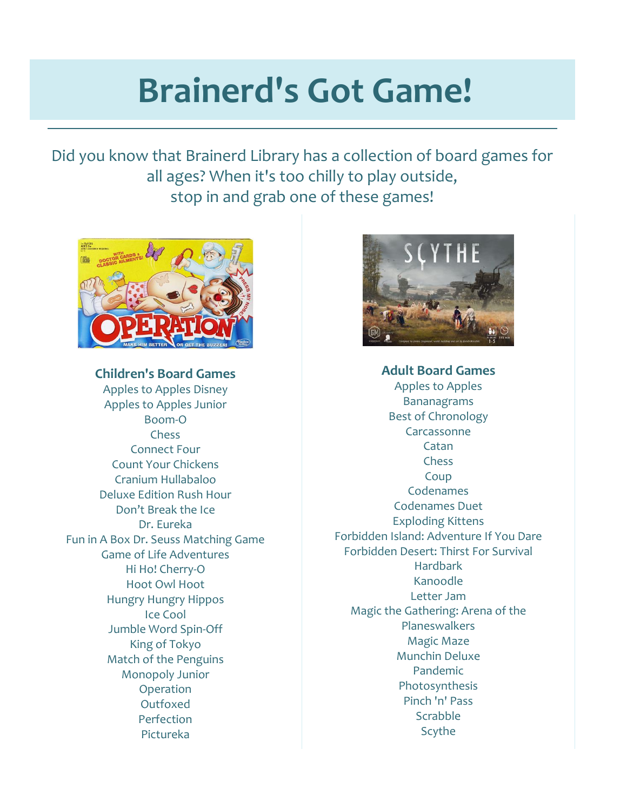## **Brainerd's Got Game!**

Did you know that Brainerd Library has a collection of board games for all ages? When it's too chilly to play outside, stop in and grab one of these games!



**Children's Board Games**

Apples to Apples Disney Apples to Apples Junior Boom-O Chess Connect Four Count Your Chickens Cranium Hullabaloo Deluxe Edition Rush Hour Don't Break the Ice Dr. Eureka Fun in A Box Dr. Seuss Matching Game Game of Life Adventures Hi Ho! Cherry-O Hoot Owl Hoot Hungry Hungry Hippos Ice Cool Jumble Word Spin-Off King of Tokyo Match of the Penguins Monopoly Junior Operation Outfoxed Perfection Pictureka



**Adult Board Games** Apples to Apples Bananagrams Best of Chronology Carcassonne Catan Chess Coup Codenames Codenames Duet Exploding Kittens Forbidden Island: Adventure If You Dare Forbidden Desert: Thirst For Survival Hardbark Kanoodle Letter Jam Magic the Gathering: Arena of the Planeswalkers Magic Maze Munchin Deluxe Pandemic Photosynthesis Pinch 'n' Pass Scrabble Scythe